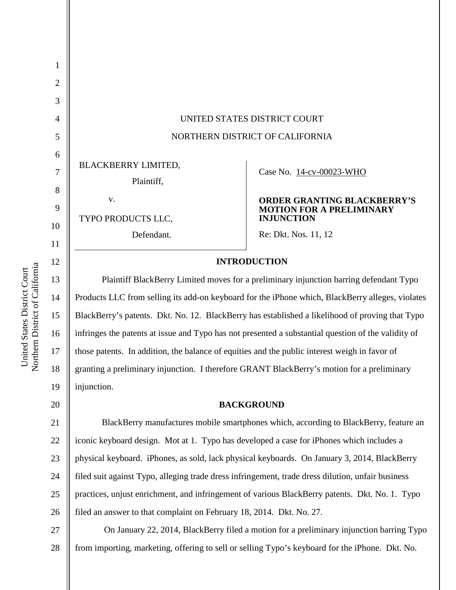| $\mathbf{1}$   |                                                                                                     |                                                                       |  |
|----------------|-----------------------------------------------------------------------------------------------------|-----------------------------------------------------------------------|--|
| $\overline{2}$ |                                                                                                     |                                                                       |  |
| 3              |                                                                                                     |                                                                       |  |
| $\overline{4}$ | UNITED STATES DISTRICT COURT                                                                        |                                                                       |  |
| 5              | NORTHERN DISTRICT OF CALIFORNIA                                                                     |                                                                       |  |
| 6              |                                                                                                     |                                                                       |  |
| $\overline{7}$ | BLACKBERRY LIMITED,                                                                                 | Case No. 14-cv-00023-WHO                                              |  |
| 8              | Plaintiff,                                                                                          |                                                                       |  |
| 9              | V.                                                                                                  | <b>ORDER GRANTING BLACKBERRY'S</b><br><b>MOTION FOR A PRELIMINARY</b> |  |
| 10             | TYPO PRODUCTS LLC,                                                                                  | <b>INJUNCTION</b>                                                     |  |
|                | Defendant.                                                                                          | Re: Dkt. Nos. 11, 12                                                  |  |
| 11             |                                                                                                     |                                                                       |  |
| 12             | <b>INTRODUCTION</b>                                                                                 |                                                                       |  |
| 13             | Plaintiff BlackBerry Limited moves for a preliminary injunction barring defendant Typo              |                                                                       |  |
| 14             | Products LLC from selling its add-on keyboard for the iPhone which, BlackBerry alleges, violates    |                                                                       |  |
| 15             | BlackBerry's patents. Dkt. No. 12. BlackBerry has established a likelihood of proving that Typo     |                                                                       |  |
| 16             | infringes the patents at issue and Typo has not presented a substantial question of the validity of |                                                                       |  |

those patents. In addition, the balance of equities and the public interest weigh in favor of granting a preliminary injunction. I therefore GRANT BlackBerry's motion for a preliminary injunction.

#### **BACKGROUND**

26 BlackBerry manufactures mobile smartphones which, according to BlackBerry, feature an iconic keyboard design. Mot at 1. Typo has developed a case for iPhones which includes a physical keyboard. iPhones, as sold, lack physical keyboards. On January 3, 2014, BlackBerry filed suit against Typo, alleging trade dress infringement, trade dress dilution, unfair business practices, unjust enrichment, and infringement of various BlackBerry patents. Dkt. No. 1. Typo filed an answer to that complaint on February 18, 2014. Dkt. No. 27.

27 28 On January 22, 2014, BlackBerry filed a motion for a preliminary injunction barring Typo from importing, marketing, offering to sell or selling Typo's keyboard for the iPhone. Dkt. No.

17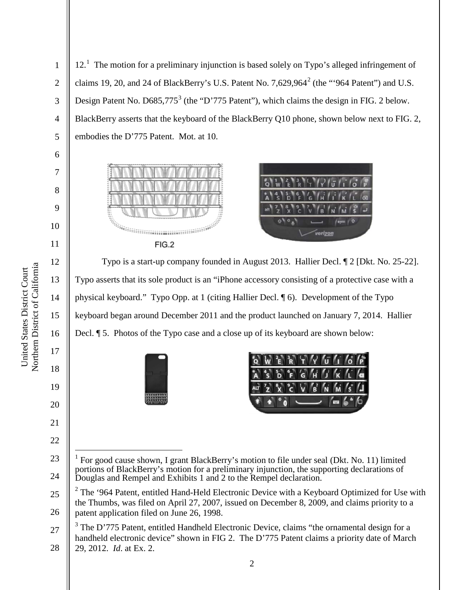Northern District of California Northern District of California United States District Court United States District Court

1

2

3

4

5

6

7

8

9

10

11

12

13

14

15

16

17

18

19

20

21

22

12.<sup>1</sup> The motion for a preliminary injunction is based solely on Typo's alleged infringement of claims 19, 20, and 24 of BlackBerry's U.S. Patent No. 7,629,964<sup>2</sup> (the "'964 Patent") and U.S. Design Patent No. D685,775<sup>3</sup> (the "D'775 Patent"), which claims the design in FIG. 2 below. BlackBerry asserts that the keyboard of the BlackBerry Q10 phone, shown below next to FIG. 2, embodies the D'775 Patent. Mot. at 10.





Typo is a start-up company founded in August 2013. Hallier Decl. ¶ 2 [Dkt. No. 25-22]. Typo asserts that its sole product is an "iPhone accessory consisting of a protective case with a physical keyboard." Typo Opp. at 1 (citing Hallier Decl. ¶ 6). Development of the Typo keyboard began around December 2011 and the product launched on January 7, 2014. Hallier Decl. ¶ 5. Photos of the Typo case and a close up of its keyboard are shown below:





<sup>23</sup> 24 1 For good cause shown, I grant BlackBerry's motion to file under seal (Dkt. No. 11) limited portions of BlackBerry's motion for a preliminary injunction, the supporting declarations of Douglas and Rempel and Exhibits 1 and 2 to the Rempel declaration.

<sup>25</sup> 26  $2$  The '964 Patent, entitled Hand-Held Electronic Device with a Keyboard Optimized for Use with the Thumbs, was filed on April 27, 2007, issued on December 8, 2009, and claims priority to a patent application filed on June 26, 1998.

<sup>27</sup> 28 The D'775 Patent, entitled Handheld Electronic Device, claims "the ornamental design for a handheld electronic device" shown in FIG 2. The D'775 Patent claims a priority date of March 29, 2012. *Id*. at Ex. 2.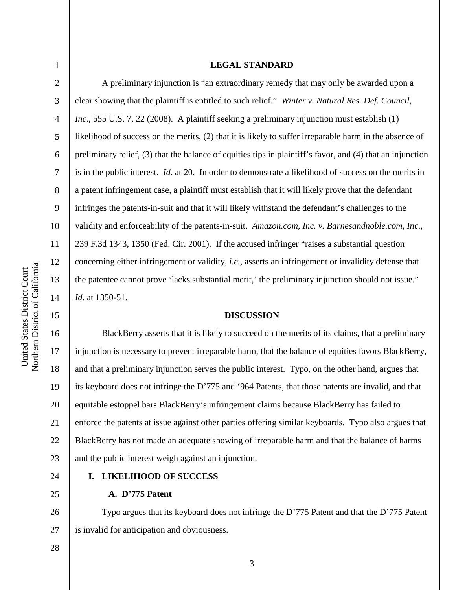4

5

6

7

8

9

10

11

12

13

14

15

1

#### **LEGAL STANDARD**

A preliminary injunction is "an extraordinary remedy that may only be awarded upon a clear showing that the plaintiff is entitled to such relief." *Winter v. Natural Res. Def. Council, Inc.*, 555 U.S. 7, 22 (2008). A plaintiff seeking a preliminary injunction must establish (1) likelihood of success on the merits, (2) that it is likely to suffer irreparable harm in the absence of preliminary relief, (3) that the balance of equities tips in plaintiff's favor, and (4) that an injunction is in the public interest. *Id*. at 20. In order to demonstrate a likelihood of success on the merits in a patent infringement case, a plaintiff must establish that it will likely prove that the defendant infringes the patents-in-suit and that it will likely withstand the defendant's challenges to the validity and enforceability of the patents-in-suit. *Amazon.com, Inc. v. Barnesandnoble.com, Inc.*, 239 F.3d 1343, 1350 (Fed. Cir. 2001). If the accused infringer "raises a substantial question concerning either infringement or validity, *i.e.,* asserts an infringement or invalidity defense that the patentee cannot prove 'lacks substantial merit,' the preliminary injunction should not issue." *Id.* at 1350-51.

### **DISCUSSION**

16 17 18 19 20 21 22 23 BlackBerry asserts that it is likely to succeed on the merits of its claims, that a preliminary injunction is necessary to prevent irreparable harm, that the balance of equities favors BlackBerry, and that a preliminary injunction serves the public interest. Typo, on the other hand, argues that its keyboard does not infringe the D'775 and '964 Patents, that those patents are invalid, and that equitable estoppel bars BlackBerry's infringement claims because BlackBerry has failed to enforce the patents at issue against other parties offering similar keyboards. Typo also argues that BlackBerry has not made an adequate showing of irreparable harm and that the balance of harms and the public interest weigh against an injunction.

24

25

28

#### **I. LIKELIHOOD OF SUCCESS**

**A. D'775 Patent**

26 27 Typo argues that its keyboard does not infringe the D'775 Patent and that the D'775 Patent is invalid for anticipation and obviousness.

Northern District of California Northern District of California United States District Court United States District Court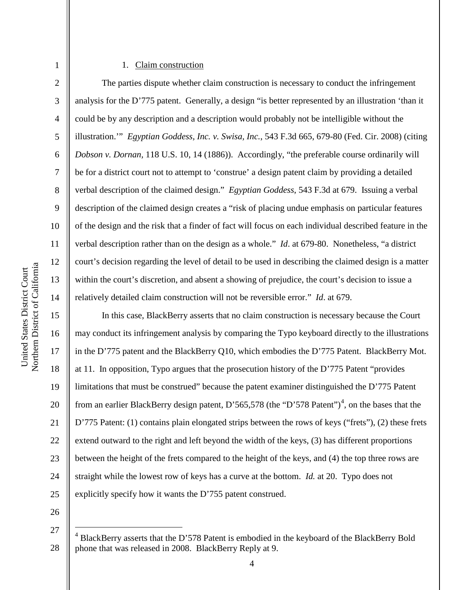#### 1. Claim construction

The parties dispute whether claim construction is necessary to conduct the infringement analysis for the D'775 patent. Generally, a design "is better represented by an illustration 'than it could be by any description and a description would probably not be intelligible without the illustration.'" *Egyptian Goddess, Inc. v. Swisa, Inc.*, 543 F.3d 665, 679-80 (Fed. Cir. 2008) (citing *Dobson v. Dornan,* 118 U.S. 10, 14 (1886)). Accordingly, "the preferable course ordinarily will be for a district court not to attempt to 'construe' a design patent claim by providing a detailed verbal description of the claimed design." *Egyptian Goddess*, 543 F.3d at 679. Issuing a verbal description of the claimed design creates a "risk of placing undue emphasis on particular features of the design and the risk that a finder of fact will focus on each individual described feature in the verbal description rather than on the design as a whole." *Id*. at 679-80. Nonetheless, "a district court's decision regarding the level of detail to be used in describing the claimed design is a matter within the court's discretion, and absent a showing of prejudice, the court's decision to issue a relatively detailed claim construction will not be reversible error." *Id*. at 679.

In this case, BlackBerry asserts that no claim construction is necessary because the Court may conduct its infringement analysis by comparing the Typo keyboard directly to the illustrations in the D'775 patent and the BlackBerry Q10, which embodies the D'775 Patent. BlackBerry Mot. at 11. In opposition, Typo argues that the prosecution history of the D'775 Patent "provides limitations that must be construed" because the patent examiner distinguished the D'775 Patent from an earlier BlackBerry design patent, D'565,578 (the "D'578 Patent")<sup>4</sup>, on the bases that the D'775 Patent: (1) contains plain elongated strips between the rows of keys ("frets"), (2) these frets extend outward to the right and left beyond the width of the keys, (3) has different proportions between the height of the frets compared to the height of the keys, and (4) the top three rows are straight while the lowest row of keys has a curve at the bottom. *Id.* at 20. Typo does not explicitly specify how it wants the D'755 patent construed.

26

27

25

1

2

3

4

5

6

7

8

9

10

11

12

13

14

15

16

17

18

19

20

21

22

23

<sup>28</sup> 4 BlackBerry asserts that the D'578 Patent is embodied in the keyboard of the BlackBerry Bold phone that was released in 2008. BlackBerry Reply at 9.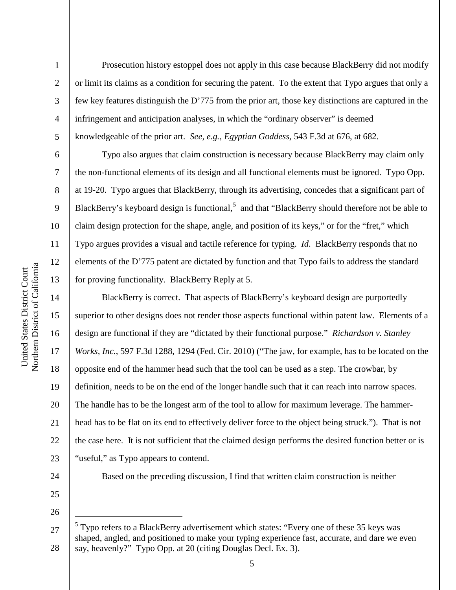2

3

4

5

6

7

8

9

10

11

12

13

14

15

16

17

18

19

20

21

22

23

Prosecution history estoppel does not apply in this case because BlackBerry did not modify or limit its claims as a condition for securing the patent. To the extent that Typo argues that only a few key features distinguish the D'775 from the prior art, those key distinctions are captured in the infringement and anticipation analyses, in which the "ordinary observer" is deemed knowledgeable of the prior art. *See, e.g., Egyptian Goddess,* 543 F.3d at 676, at 682.

Typo also argues that claim construction is necessary because BlackBerry may claim only the non-functional elements of its design and all functional elements must be ignored. Typo Opp. at 19-20. Typo argues that BlackBerry, through its advertising, concedes that a significant part of BlackBerry's keyboard design is functional,<sup>5</sup> and that "BlackBerry should therefore not be able to claim design protection for the shape, angle, and position of its keys," or for the "fret," which Typo argues provides a visual and tactile reference for typing. *Id*. BlackBerry responds that no elements of the D'775 patent are dictated by function and that Typo fails to address the standard for proving functionality. BlackBerry Reply at 5.

BlackBerry is correct. That aspects of BlackBerry's keyboard design are purportedly superior to other designs does not render those aspects functional within patent law. Elements of a design are functional if they are "dictated by their functional purpose." *Richardson v. Stanley Works, Inc.*, 597 F.3d 1288, 1294 (Fed. Cir. 2010) ("The jaw, for example, has to be located on the opposite end of the hammer head such that the tool can be used as a step. The crowbar, by definition, needs to be on the end of the longer handle such that it can reach into narrow spaces. The handle has to be the longest arm of the tool to allow for maximum leverage. The hammerhead has to be flat on its end to effectively deliver force to the object being struck."). That is not the case here. It is not sufficient that the claimed design performs the desired function better or is "useful," as Typo appears to contend.

24

25 26 Based on the preceding discussion, I find that written claim construction is neither

<sup>27</sup> 28  $5$  Typo refers to a BlackBerry advertisement which states: "Every one of these 35 keys was shaped, angled, and positioned to make your typing experience fast, accurate, and dare we even say, heavenly?" Typo Opp. at 20 (citing Douglas Decl. Ex. 3).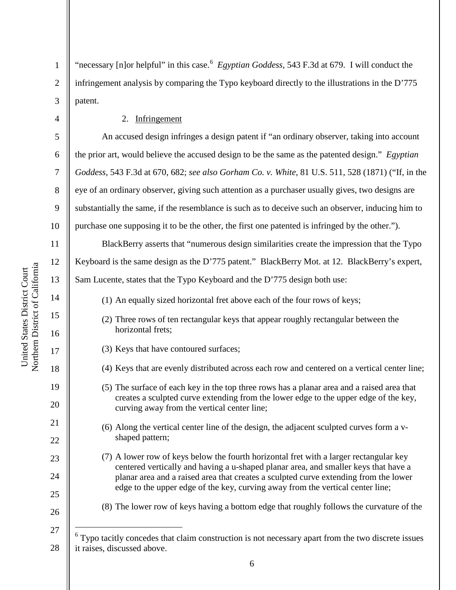"necessary [n]or helpful" in this case.<sup>6</sup> Egyptian Goddess, 543 F.3d at 679. I will conduct the infringement analysis by comparing the Typo keyboard directly to the illustrations in the D'775 patent.

2. Infringement

An accused design infringes a design patent if "an ordinary observer, taking into account the prior art, would believe the accused design to be the same as the patented design." *Egyptian Goddess*, 543 F.3d at 670, 682; *see also Gorham Co. v. White*, 81 U.S. 511, 528 (1871) ("If, in the eye of an ordinary observer, giving such attention as a purchaser usually gives, two designs are substantially the same, if the resemblance is such as to deceive such an observer, inducing him to purchase one supposing it to be the other, the first one patented is infringed by the other.").

BlackBerry asserts that "numerous design similarities create the impression that the Typo Keyboard is the same design as the D'775 patent." BlackBerry Mot. at 12. BlackBerry's expert, Sam Lucente, states that the Typo Keyboard and the D'775 design both use:

- (1) An equally sized horizontal fret above each of the four rows of keys;
- (2) Three rows of ten rectangular keys that appear roughly rectangular between the horizontal frets;
- (3) Keys that have contoured surfaces;
- (4) Keys that are evenly distributed across each row and centered on a vertical center line;
- (5) The surface of each key in the top three rows has a planar area and a raised area that creates a sculpted curve extending from the lower edge to the upper edge of the key, curving away from the vertical center line;
- (6) Along the vertical center line of the design, the adjacent sculpted curves form a vshaped pattern;
- (7) A lower row of keys below the fourth horizontal fret with a larger rectangular key centered vertically and having a u-shaped planar area, and smaller keys that have a planar area and a raised area that creates a sculpted curve extending from the lower edge to the upper edge of the key, curving away from the vertical center line;
- (8) The lower row of keys having a bottom edge that roughly follows the curvature of the
- 27

1

2

3

4

5

6

7

8

9

10

11

12

13

14

15

16

17

18

19

20

21

22

23

 $24$ 

25

<sup>28</sup>  $6$  Typo tacitly concedes that claim construction is not necessary apart from the two discrete issues it raises, discussed above.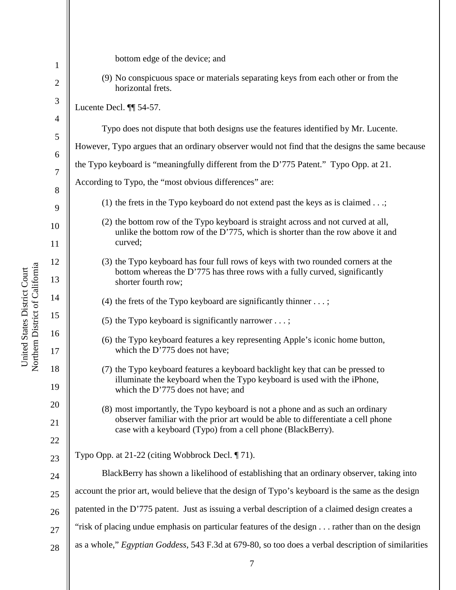| $\mathbf 1$                     | bottom edge of the device; and                                                                                                                                                                  |  |  |
|---------------------------------|-------------------------------------------------------------------------------------------------------------------------------------------------------------------------------------------------|--|--|
| $\overline{2}$                  | (9) No conspicuous space or materials separating keys from each other or from the<br>horizontal frets.                                                                                          |  |  |
| 3                               | Lucente Decl. II 54-57.                                                                                                                                                                         |  |  |
| $\overline{4}$<br>$\mathfrak s$ | Typo does not dispute that both designs use the features identified by Mr. Lucente.                                                                                                             |  |  |
| 6                               | However, Typo argues that an ordinary observer would not find that the designs the same because                                                                                                 |  |  |
| 7                               | the Typo keyboard is "meaningfully different from the D'775 Patent." Typo Opp. at 21.                                                                                                           |  |  |
| $8\,$                           | According to Typo, the "most obvious differences" are:                                                                                                                                          |  |  |
| 9                               | (1) the frets in the Typo keyboard do not extend past the keys as is claimed $\dots;$                                                                                                           |  |  |
| 10                              | (2) the bottom row of the Typo keyboard is straight across and not curved at all,<br>unlike the bottom row of the D'775, which is shorter than the row above it and<br>curved;                  |  |  |
| 11                              |                                                                                                                                                                                                 |  |  |
| 12<br>13                        | (3) the Typo keyboard has four full rows of keys with two rounded corners at the<br>bottom whereas the D'775 has three rows with a fully curved, significantly<br>shorter fourth row;           |  |  |
| 14                              | (4) the frets of the Typo keyboard are significantly thinner $\dots$ ;                                                                                                                          |  |  |
| 15                              | (5) the Typo keyboard is significantly narrower $\dots$ ;                                                                                                                                       |  |  |
| 16<br>17                        | (6) the Typo keyboard features a key representing Apple's iconic home button,<br>which the D'775 does not have;                                                                                 |  |  |
| 18<br>19                        | (7) the Typo keyboard features a keyboard backlight key that can be pressed to<br>illuminate the keyboard when the Typo keyboard is used with the iPhone,<br>which the D'775 does not have; and |  |  |
| 20                              | (8) most importantly, the Typo keyboard is not a phone and as such an ordinary                                                                                                                  |  |  |
| 21                              | observer familiar with the prior art would be able to differentiate a cell phone<br>case with a keyboard (Typo) from a cell phone (BlackBerry).                                                 |  |  |
| 22                              |                                                                                                                                                                                                 |  |  |
| 23                              | Typo Opp. at 21-22 (citing Wobbrock Decl. ¶ 71).                                                                                                                                                |  |  |
| 24                              | BlackBerry has shown a likelihood of establishing that an ordinary observer, taking into                                                                                                        |  |  |
| $25\,$                          | account the prior art, would believe that the design of Typo's keyboard is the same as the design                                                                                               |  |  |
| 26                              | patented in the D'775 patent. Just as issuing a verbal description of a claimed design creates a                                                                                                |  |  |
| 27                              | "risk of placing undue emphasis on particular features of the design rather than on the design                                                                                                  |  |  |
| $28\,$                          | as a whole," Egyptian Goddess, 543 F.3d at 679-80, so too does a verbal description of similarities                                                                                             |  |  |

United States District Court<br>Northern District of California Northern District of California

United States District Court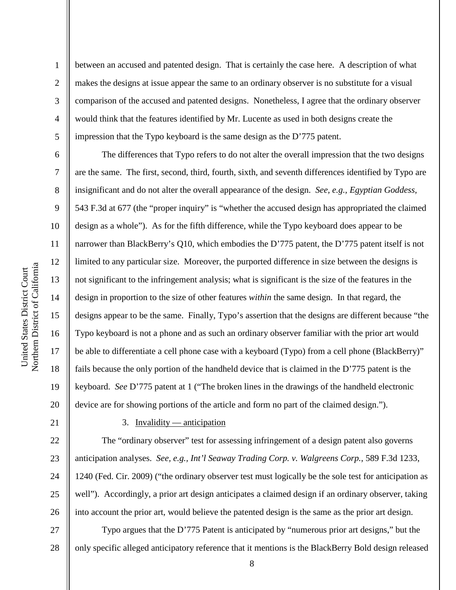2

3

4

5

6

7

8

9

10

11

12

13

14

15

16

17

18

19

20

21

22

23

24

25

26

between an accused and patented design. That is certainly the case here. A description of what makes the designs at issue appear the same to an ordinary observer is no substitute for a visual comparison of the accused and patented designs. Nonetheless, I agree that the ordinary observer would think that the features identified by Mr. Lucente as used in both designs create the impression that the Typo keyboard is the same design as the D'775 patent.

The differences that Typo refers to do not alter the overall impression that the two designs are the same. The first, second, third, fourth, sixth, and seventh differences identified by Typo are insignificant and do not alter the overall appearance of the design. *See, e.g., Egyptian Goddess*, 543 F.3d at 677 (the "proper inquiry" is "whether the accused design has appropriated the claimed design as a whole"). As for the fifth difference, while the Typo keyboard does appear to be narrower than BlackBerry's Q10, which embodies the D'775 patent, the D'775 patent itself is not limited to any particular size. Moreover, the purported difference in size between the designs is not significant to the infringement analysis; what is significant is the size of the features in the design in proportion to the size of other features *within* the same design. In that regard, the designs appear to be the same. Finally, Typo's assertion that the designs are different because "the Typo keyboard is not a phone and as such an ordinary observer familiar with the prior art would be able to differentiate a cell phone case with a keyboard (Typo) from a cell phone (BlackBerry)" fails because the only portion of the handheld device that is claimed in the D'775 patent is the keyboard. *See* D'775 patent at 1 ("The broken lines in the drawings of the handheld electronic device are for showing portions of the article and form no part of the claimed design.").

# 3. Invalidity — anticipation

The "ordinary observer" test for assessing infringement of a design patent also governs anticipation analyses. *See, e.g., Int'l Seaway Trading Corp. v. Walgreens Corp.*, 589 F.3d 1233, 1240 (Fed. Cir. 2009) ("the ordinary observer test must logically be the sole test for anticipation as well"). Accordingly, a prior art design anticipates a claimed design if an ordinary observer, taking into account the prior art, would believe the patented design is the same as the prior art design.

27 28 Typo argues that the D'775 Patent is anticipated by "numerous prior art designs," but the only specific alleged anticipatory reference that it mentions is the BlackBerry Bold design released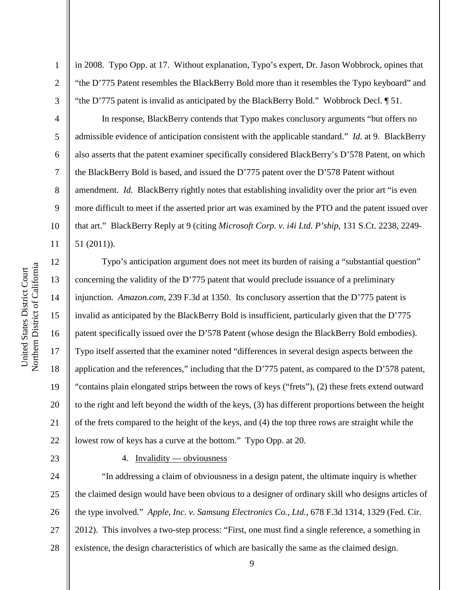Northern District of California Northern District of California United States District Court United States District Court

1

2

3

4

5

6

7

8

9

10

11

12

13

14

15

16

17

18

19

20

21

22

in 2008. Typo Opp. at 17. Without explanation, Typo's expert, Dr. Jason Wobbrock, opines that "the D'775 Patent resembles the BlackBerry Bold more than it resembles the Typo keyboard" and "the D'775 patent is invalid as anticipated by the BlackBerry Bold." Wobbrock Decl. ¶ 51.

In response, BlackBerry contends that Typo makes conclusory arguments "but offers no admissible evidence of anticipation consistent with the applicable standard." *Id*. at 9. BlackBerry also asserts that the patent examiner specifically considered BlackBerry's D'578 Patent, on which the BlackBerry Bold is based, and issued the D'775 patent over the D'578 Patent without amendment. *Id*. BlackBerry rightly notes that establishing invalidity over the prior art "is even more difficult to meet if the asserted prior art was examined by the PTO and the patent issued over that art." BlackBerry Reply at 9 (citing *Microsoft Corp. v. i4i Ltd. P'ship*, 131 S.Ct. 2238, 2249- 51 (2011)).

Typo's anticipation argument does not meet its burden of raising a "substantial question" concerning the validity of the D'775 patent that would preclude issuance of a preliminary injunction. *Amazon.com*, 239 F.3d at 1350. Its conclusory assertion that the D'775 patent is invalid as anticipated by the BlackBerry Bold is insufficient, particularly given that the D'775 patent specifically issued over the D'578 Patent (whose design the BlackBerry Bold embodies). Typo itself asserted that the examiner noted "differences in several design aspects between the application and the references," including that the D'775 patent, as compared to the D'578 patent, "contains plain elongated strips between the rows of keys ("frets"), (2) these frets extend outward to the right and left beyond the width of the keys, (3) has different proportions between the height of the frets compared to the height of the keys, and (4) the top three rows are straight while the lowest row of keys has a curve at the bottom." Typo Opp. at 20.

23

# 4. Invalidity — obviousness

24 25 26 27 28 "In addressing a claim of obviousness in a design patent, the ultimate inquiry is whether the claimed design would have been obvious to a designer of ordinary skill who designs articles of the type involved." *Apple, Inc. v. Samsung Electronics Co., Ltd.*, 678 F.3d 1314, 1329 (Fed. Cir. 2012). This involves a two-step process: "First, one must find a single reference, a something in existence, the design characteristics of which are basically the same as the claimed design.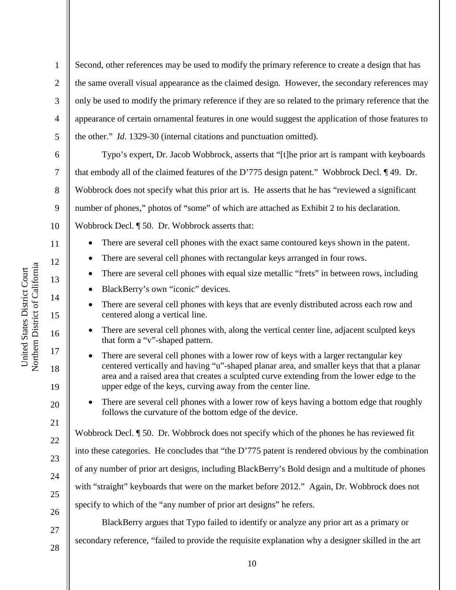2 3 4 5 6 7 8 the same overall visual appearance as the claimed design. However, the secondary references may only be used to modify the primary reference if they are so related to the primary reference that the appearance of certain ornamental features in one would suggest the application of those features to the other." *Id*. 1329-30 (internal citations and punctuation omitted). Typo's expert, Dr. Jacob Wobbrock, asserts that "[t]he prior art is rampant with keyboards

10 that embody all of the claimed features of the D'775 design patent." Wobbrock Decl. ¶ 49. Dr. Wobbrock does not specify what this prior art is. He asserts that he has "reviewed a significant number of phones," photos of "some" of which are attached as Exhibit 2 to his declaration. Wobbrock Decl. ¶ 50. Dr. Wobbrock asserts that:

Second, other references may be used to modify the primary reference to create a design that has

- There are several cell phones with the exact same contoured keys shown in the patent.
- There are several cell phones with rectangular keys arranged in four rows.
	- There are several cell phones with equal size metallic "frets" in between rows, including
- BlackBerry's own "iconic" devices.
- There are several cell phones with keys that are evenly distributed across each row and centered along a vertical line.
- There are several cell phones with, along the vertical center line, adjacent sculpted keys that form a "v"-shaped pattern.
- There are several cell phones with a lower row of keys with a larger rectangular key centered vertically and having "u"-shaped planar area, and smaller keys that that a planar area and a raised area that creates a sculpted curve extending from the lower edge to the upper edge of the keys, curving away from the center line.
- There are several cell phones with a lower row of keys having a bottom edge that roughly follows the curvature of the bottom edge of the device.

Wobbrock Decl. ¶ 50. Dr. Wobbrock does not specify which of the phones he has reviewed fit into these categories. He concludes that "the D'775 patent is rendered obvious by the combination of any number of prior art designs, including BlackBerry's Bold design and a multitude of phones with "straight" keyboards that were on the market before 2012." Again, Dr. Wobbrock does not specify to which of the "any number of prior art designs" he refers.

BlackBerry argues that Typo failed to identify or analyze any prior art as a primary or secondary reference, "failed to provide the requisite explanation why a designer skilled in the art

Northern District of California Northern District of California United States District Court United States District Court

1

9

11

12

13

14

15

16

17

18

19

20

21

22

23

24

25

26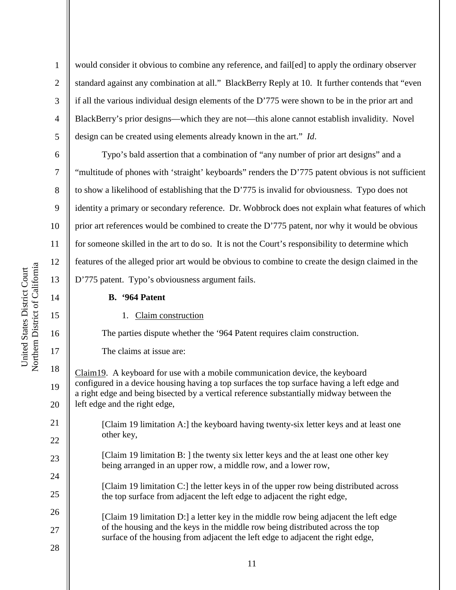2

3

4

5

6

7

8

9

10

11

12

13

14

15

16

17

18

19

20

21

22

23

24

25

would consider it obvious to combine any reference, and fail[ed] to apply the ordinary observer standard against any combination at all." BlackBerry Reply at 10. It further contends that "even if all the various individual design elements of the D'775 were shown to be in the prior art and BlackBerry's prior designs—which they are not—this alone cannot establish invalidity. Novel design can be created using elements already known in the art." *Id*.

Typo's bald assertion that a combination of "any number of prior art designs" and a "multitude of phones with 'straight' keyboards" renders the D'775 patent obvious is not sufficient to show a likelihood of establishing that the D'775 is invalid for obviousness. Typo does not identity a primary or secondary reference. Dr. Wobbrock does not explain what features of which prior art references would be combined to create the D'775 patent, nor why it would be obvious for someone skilled in the art to do so. It is not the Court's responsibility to determine which features of the alleged prior art would be obvious to combine to create the design claimed in the D'775 patent. Typo's obviousness argument fails.

### **B. '964 Patent**

### 1. Claim construction

The parties dispute whether the '964 Patent requires claim construction.

The claims at issue are:

Claim19. A keyboard for use with a mobile communication device, the keyboard configured in a device housing having a top surfaces the top surface having a left edge and a right edge and being bisected by a vertical reference substantially midway between the left edge and the right edge,

[Claim 19 limitation A:] the keyboard having twenty-six letter keys and at least one other key,

[Claim 19 limitation B: ] the twenty six letter keys and the at least one other key being arranged in an upper row, a middle row, and a lower row,

[Claim 19 limitation C:] the letter keys in of the upper row being distributed across the top surface from adjacent the left edge to adjacent the right edge,

- 26 27 [Claim 19 limitation D:] a letter key in the middle row being adjacent the left edge of the housing and the keys in the middle row being distributed across the top surface of the housing from adjacent the left edge to adjacent the right edge,
- 28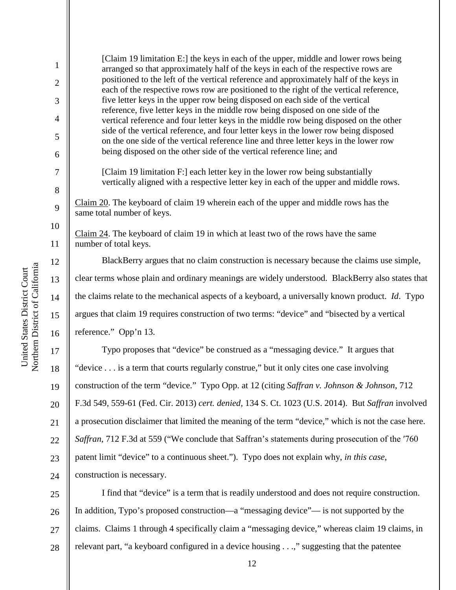[Claim 19 limitation E:] the keys in each of the upper, middle and lower rows being arranged so that approximately half of the keys in each of the respective rows are positioned to the left of the vertical reference and approximately half of the keys in each of the respective rows row are positioned to the right of the vertical reference, five letter keys in the upper row being disposed on each side of the vertical reference, five letter keys in the middle row being disposed on one side of the vertical reference and four letter keys in the middle row being disposed on the other side of the vertical reference, and four letter keys in the lower row being disposed on the one side of the vertical reference line and three letter keys in the lower row being disposed on the other side of the vertical reference line; and

[Claim 19 limitation F:] each letter key in the lower row being substantially vertically aligned with a respective letter key in each of the upper and middle rows.

Claim 20. The keyboard of claim 19 wherein each of the upper and middle rows has the same total number of keys.

Claim 24. The keyboard of claim 19 in which at least two of the rows have the same number of total keys.

BlackBerry argues that no claim construction is necessary because the claims use simple, clear terms whose plain and ordinary meanings are widely understood. BlackBerry also states that the claims relate to the mechanical aspects of a keyboard, a universally known product. *Id*. Typo argues that claim 19 requires construction of two terms: "device" and "bisected by a vertical reference." Opp'n 13.

24 Typo proposes that "device" be construed as a "messaging device." It argues that "device . . . is a term that courts regularly construe," but it only cites one case involving construction of the term "device." Typo Opp. at 12 (citing *Saffran v. Johnson & Johnson*, 712 F.3d 549, 559-61 (Fed. Cir. 2013) *cert. denied,* 134 S. Ct. 1023 (U.S. 2014). But *Saffran* involved a prosecution disclaimer that limited the meaning of the term "device," which is not the case here. *Saffran*, 712 F.3d at 559 ("We conclude that Saffran's statements during prosecution of the ′760 patent limit "device" to a continuous sheet."). Typo does not explain why, *in this case*, construction is necessary.

25 26 27 28 I find that "device" is a term that is readily understood and does not require construction. In addition, Typo's proposed construction—a "messaging device"— is not supported by the claims. Claims 1 through 4 specifically claim a "messaging device," whereas claim 19 claims, in relevant part, "a keyboard configured in a device housing . . .," suggesting that the patentee

1

2

3

4

5

6

7

8

9

10

11

12

13

14

15

16

17

18

19

20

21

22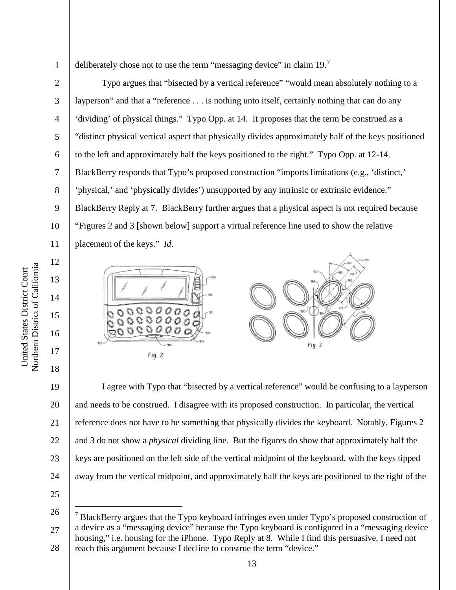3

4

5

6

7

8

9

10

11

12

13

14

15

16

17

18

deliberately chose not to use the term "messaging device" in claim 19.

Typo argues that "bisected by a vertical reference" "would mean absolutely nothing to a layperson" and that a "reference . . . is nothing unto itself, certainly nothing that can do any 'dividing' of physical things." Typo Opp. at 14. It proposes that the term be construed as a "distinct physical vertical aspect that physically divides approximately half of the keys positioned to the left and approximately half the keys positioned to the right." Typo Opp. at 12-14. BlackBerry responds that Typo's proposed construction "imports limitations (e.g., 'distinct,' 'physical,' and 'physically divides') unsupported by any intrinsic or extrinsic evidence." BlackBerry Reply at 7. BlackBerry further argues that a physical aspect is not required because "Figures 2 and 3 [shown below] support a virtual reference line used to show the relative placement of the keys." *Id*.



19 20 21 22 23 24 I agree with Typo that "bisected by a vertical reference" would be confusing to a layperson and needs to be construed. I disagree with its proposed construction. In particular, the vertical reference does not have to be something that physically divides the keyboard. Notably, Figures 2 and 3 do not show a *physical* dividing line. But the figures do show that approximately half the keys are positioned on the left side of the vertical midpoint of the keyboard, with the keys tipped away from the vertical midpoint, and approximately half the keys are positioned to the right of the

25

26 27 28 7 BlackBerry argues that the Typo keyboard infringes even under Typo's proposed construction of a device as a "messaging device" because the Typo keyboard is configured in a "messaging device housing," i.e. housing for the iPhone. Typo Reply at 8. While I find this persuasive, I need not reach this argument because I decline to construe the term "device."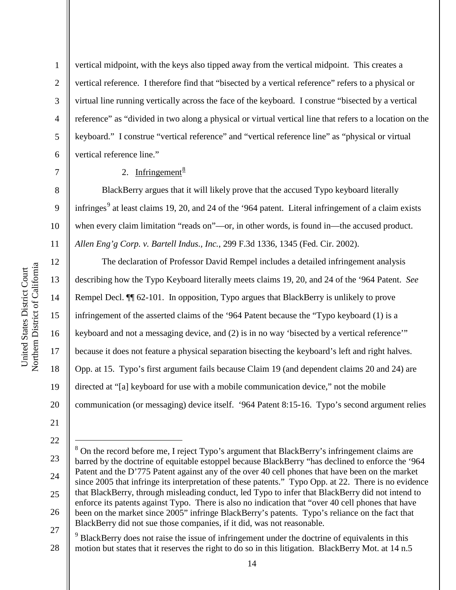4 6 vertical midpoint, with the keys also tipped away from the vertical midpoint. This creates a vertical reference. I therefore find that "bisected by a vertical reference" refers to a physical or virtual line running vertically across the face of the keyboard. I construe "bisected by a vertical reference" as "divided in two along a physical or virtual vertical line that refers to a location on the keyboard." I construe "vertical reference" and "vertical reference line" as "physical or virtual vertical reference line."

# 2. Infringement $\frac{8}{3}$

BlackBerry argues that it will likely prove that the accused Typo keyboard literally infringes<sup>9</sup> at least claims 19, 20, and 24 of the '964 patent. Literal infringement of a claim exists when every claim limitation "reads on"—or, in other words, is found in—the accused product. *Allen Eng'g Corp. v. Bartell Indus., Inc.*, 299 F.3d 1336, 1345 (Fed. Cir. 2002).

The declaration of Professor David Rempel includes a detailed infringement analysis describing how the Typo Keyboard literally meets claims 19, 20, and 24 of the '964 Patent. *See*  Rempel Decl.  $\P$  62-101. In opposition, Typo argues that BlackBerry is unlikely to prove infringement of the asserted claims of the '964 Patent because the "Typo keyboard (1) is a keyboard and not a messaging device, and (2) is in no way 'bisected by a vertical reference'" because it does not feature a physical separation bisecting the keyboard's left and right halves. Opp. at 15. Typo's first argument fails because Claim 19 (and dependent claims 20 and 24) are directed at "[a] keyboard for use with a mobile communication device," not the mobile communication (or messaging) device itself. '964 Patent 8:15-16. Typo's second argument relies

1

2

3

5

7

8

9

10

11

12

13

14

15

16

17

18

19

20

<sup>21</sup>

<sup>23</sup> 24 25 26 27 8 On the record before me, I reject Typo's argument that BlackBerry's infringement claims are barred by the doctrine of equitable estoppel because BlackBerry "has declined to enforce the '964 Patent and the D'775 Patent against any of the over 40 cell phones that have been on the market since 2005 that infringe its interpretation of these patents." Typo Opp. at 22. There is no evidence that BlackBerry, through misleading conduct, led Typo to infer that BlackBerry did not intend to enforce its patents against Typo. There is also no indication that "over 40 cell phones that have been on the market since 2005" infringe BlackBerry's patents. Typo's reliance on the fact that BlackBerry did not sue those companies, if it did, was not reasonable.

<sup>28</sup> <sup>9</sup> BlackBerry does not raise the issue of infringement under the doctrine of equivalents in this motion but states that it reserves the right to do so in this litigation. BlackBerry Mot. at 14 n.5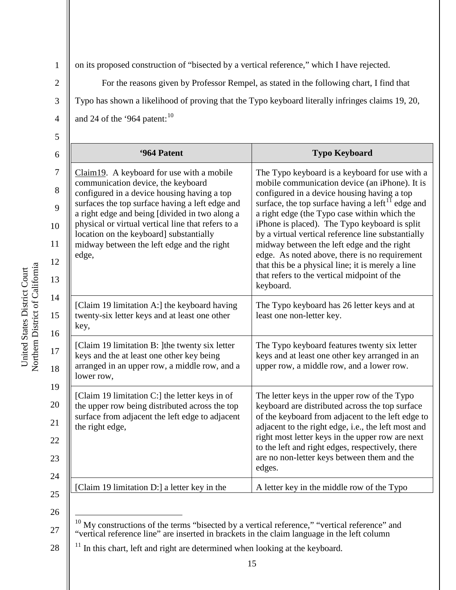4

1

on its proposed construction of "bisected by a vertical reference," which I have rejected.

For the reasons given by Professor Rempel, as stated in the following chart, I find that Typo has shown a likelihood of proving that the Typo keyboard literally infringes claims 19, 20,

and 24 of the '964 patent: $10$ 

| ×                  |  |
|--------------------|--|
| ۰.<br>۰.<br>×<br>٠ |  |
|                    |  |

| '964 Patent                                                                                                                                                                                                                                                                                                                                                                                    | <b>Typo Keyboard</b>                                                                                                                                                                                                                                                                                                                                                                                                                                                                                                                                                              |
|------------------------------------------------------------------------------------------------------------------------------------------------------------------------------------------------------------------------------------------------------------------------------------------------------------------------------------------------------------------------------------------------|-----------------------------------------------------------------------------------------------------------------------------------------------------------------------------------------------------------------------------------------------------------------------------------------------------------------------------------------------------------------------------------------------------------------------------------------------------------------------------------------------------------------------------------------------------------------------------------|
| $Claim 19. A keyboard for use with a mobile$<br>communication device, the keyboard<br>configured in a device housing having a top<br>surfaces the top surface having a left edge and<br>a right edge and being [divided in two along a<br>physical or virtual vertical line that refers to a<br>location on the keyboard] substantially<br>midway between the left edge and the right<br>edge, | The Typo keyboard is a keyboard for use with a<br>mobile communication device (an iPhone). It is<br>configured in a device housing having a top<br>surface, the top surface having a left $^{11}$ edge and<br>a right edge (the Typo case within which the<br>iPhone is placed). The Typo keyboard is split<br>by a virtual vertical reference line substantially<br>midway between the left edge and the right<br>edge. As noted above, there is no requirement<br>that this be a physical line; it is merely a line<br>that refers to the vertical midpoint of the<br>keyboard. |
| [Claim 19 limitation A:] the keyboard having<br>twenty-six letter keys and at least one other<br>key,                                                                                                                                                                                                                                                                                          | The Typo keyboard has 26 letter keys and at<br>least one non-letter key.                                                                                                                                                                                                                                                                                                                                                                                                                                                                                                          |
| [Claim 19 limitation B: ] the twenty six letter<br>keys and the at least one other key being<br>arranged in an upper row, a middle row, and a<br>lower row,                                                                                                                                                                                                                                    | The Typo keyboard features twenty six letter<br>keys and at least one other key arranged in an<br>upper row, a middle row, and a lower row.                                                                                                                                                                                                                                                                                                                                                                                                                                       |
| [Claim 19 limitation C:] the letter keys in of<br>the upper row being distributed across the top<br>surface from adjacent the left edge to adjacent<br>the right edge,                                                                                                                                                                                                                         | The letter keys in the upper row of the Typo<br>keyboard are distributed across the top surface<br>of the keyboard from adjacent to the left edge to<br>adjacent to the right edge, i.e., the left most and<br>right most letter keys in the upper row are next<br>to the left and right edges, respectively, there<br>are no non-letter keys between them and the<br>edges.                                                                                                                                                                                                      |
| [Claim 19 limitation D:] a letter key in the                                                                                                                                                                                                                                                                                                                                                   | A letter key in the middle row of the Typo                                                                                                                                                                                                                                                                                                                                                                                                                                                                                                                                        |

26

28  $11$  In this chart, left and right are determined when looking at the keyboard.

<sup>27</sup>  $\frac{10}{10}$  My constructions of the terms "bisected by a vertical reference," "vertical reference" and "vertical reference line" are inserted in brackets in the claim language in the left column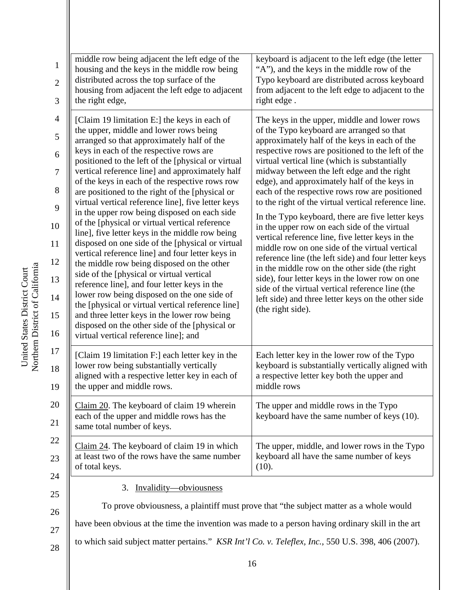| Inited States District C | District of Californi<br>Ξ |
|--------------------------|----------------------------|
|                          | rthern                     |

| $\mathbf{1}$<br>$\overline{2}$<br>3                                                    | middle row being adjacent the left edge of the<br>housing and the keys in the middle row being<br>distributed across the top surface of the<br>housing from adjacent the left edge to adjacent<br>the right edge,                                                                                                                                                                                                                                                                                                                                                                                                                                                                                                                                                                                                                                                                                                                                                                                                                                                                                          | keyboard is adjacent to the left edge (the letter<br>"A"), and the keys in the middle row of the<br>Typo keyboard are distributed across keyboard<br>from adjacent to the left edge to adjacent to the<br>right edge.                                                                                                                                                                                                                                                                                                                                                                                                                                                                                                                                                                                                                                                                                                                                         |
|----------------------------------------------------------------------------------------|------------------------------------------------------------------------------------------------------------------------------------------------------------------------------------------------------------------------------------------------------------------------------------------------------------------------------------------------------------------------------------------------------------------------------------------------------------------------------------------------------------------------------------------------------------------------------------------------------------------------------------------------------------------------------------------------------------------------------------------------------------------------------------------------------------------------------------------------------------------------------------------------------------------------------------------------------------------------------------------------------------------------------------------------------------------------------------------------------------|---------------------------------------------------------------------------------------------------------------------------------------------------------------------------------------------------------------------------------------------------------------------------------------------------------------------------------------------------------------------------------------------------------------------------------------------------------------------------------------------------------------------------------------------------------------------------------------------------------------------------------------------------------------------------------------------------------------------------------------------------------------------------------------------------------------------------------------------------------------------------------------------------------------------------------------------------------------|
| $\overline{4}$<br>5<br>6<br>$\tau$<br>8<br>9<br>10<br>11<br>12<br>13<br>14<br>15<br>16 | [Claim 19 limitation E:] the keys in each of<br>the upper, middle and lower rows being<br>arranged so that approximately half of the<br>keys in each of the respective rows are<br>positioned to the left of the [physical or virtual<br>vertical reference line] and approximately half<br>of the keys in each of the respective rows row<br>are positioned to the right of the [physical or<br>virtual vertical reference line], five letter keys<br>in the upper row being disposed on each side<br>of the [physical or virtual vertical reference<br>line], five letter keys in the middle row being<br>disposed on one side of the [physical or virtual<br>vertical reference line] and four letter keys in<br>the middle row being disposed on the other<br>side of the [physical or virtual vertical<br>reference line], and four letter keys in the<br>lower row being disposed on the one side of<br>the [physical or virtual vertical reference line]<br>and three letter keys in the lower row being<br>disposed on the other side of the [physical or<br>virtual vertical reference line]; and | The keys in the upper, middle and lower rows<br>of the Typo keyboard are arranged so that<br>approximately half of the keys in each of the<br>respective rows are positioned to the left of the<br>virtual vertical line (which is substantially<br>midway between the left edge and the right<br>edge), and approximately half of the keys in<br>each of the respective rows row are positioned<br>to the right of the virtual vertical reference line.<br>In the Typo keyboard, there are five letter keys<br>in the upper row on each side of the virtual<br>vertical reference line, five letter keys in the<br>middle row on one side of the virtual vertical<br>reference line (the left side) and four letter keys<br>in the middle row on the other side (the right<br>side), four letter keys in the lower row on one<br>side of the virtual vertical reference line (the<br>left side) and three letter keys on the other side<br>(the right side). |
| 17<br>18<br>19                                                                         | [Claim 19 limitation F:] each letter key in the<br>lower row being substantially vertically<br>aligned with a respective letter key in each of<br>the upper and middle rows.                                                                                                                                                                                                                                                                                                                                                                                                                                                                                                                                                                                                                                                                                                                                                                                                                                                                                                                               | Each letter key in the lower row of the Typo<br>keyboard is substantially vertically aligned with<br>a respective letter key both the upper and<br>middle rows                                                                                                                                                                                                                                                                                                                                                                                                                                                                                                                                                                                                                                                                                                                                                                                                |
| 20<br>21                                                                               | Claim 20. The keyboard of claim 19 wherein<br>each of the upper and middle rows has the<br>same total number of keys.                                                                                                                                                                                                                                                                                                                                                                                                                                                                                                                                                                                                                                                                                                                                                                                                                                                                                                                                                                                      | The upper and middle rows in the Typo<br>keyboard have the same number of keys (10).                                                                                                                                                                                                                                                                                                                                                                                                                                                                                                                                                                                                                                                                                                                                                                                                                                                                          |
| 22<br>23                                                                               | Claim 24. The keyboard of claim 19 in which<br>at least two of the rows have the same number<br>of total keys.                                                                                                                                                                                                                                                                                                                                                                                                                                                                                                                                                                                                                                                                                                                                                                                                                                                                                                                                                                                             | The upper, middle, and lower rows in the Typo<br>keyboard all have the same number of keys<br>(10).                                                                                                                                                                                                                                                                                                                                                                                                                                                                                                                                                                                                                                                                                                                                                                                                                                                           |
| 24<br>25<br>26<br>27<br>28                                                             | Invalidity-obviousness<br>3.<br>have been obvious at the time the invention was made to a person having ordinary skill in the art<br>to which said subject matter pertains." <i>KSR Int'l Co. v. Teleflex, Inc.</i> , 550 U.S. 398, 406 (2007).                                                                                                                                                                                                                                                                                                                                                                                                                                                                                                                                                                                                                                                                                                                                                                                                                                                            | To prove obviousness, a plaintiff must prove that "the subject matter as a whole would                                                                                                                                                                                                                                                                                                                                                                                                                                                                                                                                                                                                                                                                                                                                                                                                                                                                        |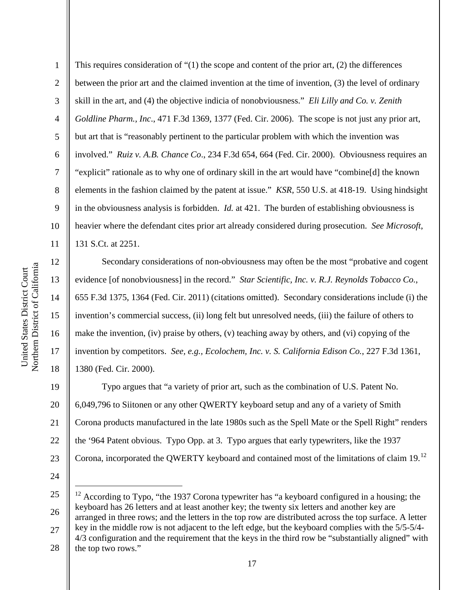13

14

15

16

17

18

1 2 3 4 5 6 7 8 9 10 11 This requires consideration of "(1) the scope and content of the prior art, (2) the differences between the prior art and the claimed invention at the time of invention, (3) the level of ordinary skill in the art, and (4) the objective indicia of nonobviousness." *Eli Lilly and Co. v. Zenith Goldline Pharm., Inc*., 471 F.3d 1369, 1377 (Fed. Cir. 2006). The scope is not just any prior art, but art that is "reasonably pertinent to the particular problem with which the invention was involved." *Ruiz v. A.B. Chance Co*., 234 F.3d 654, 664 (Fed. Cir. 2000). Obviousness requires an "explicit" rationale as to why one of ordinary skill in the art would have "combine[d] the known elements in the fashion claimed by the patent at issue." *KSR*, 550 U.S. at 418-19. Using hindsight in the obviousness analysis is forbidden. *Id.* at 421. The burden of establishing obviousness is heavier where the defendant cites prior art already considered during prosecution. *See Microsoft*, 131 S.Ct. at 2251.

Secondary considerations of non-obviousness may often be the most "probative and cogent evidence [of nonobviousness] in the record." *Star Scientific, Inc. v. R.J. Reynolds Tobacco Co.*, 655 F.3d 1375, 1364 (Fed. Cir. 2011) (citations omitted). Secondary considerations include (i) the invention's commercial success, (ii) long felt but unresolved needs, (iii) the failure of others to make the invention, (iv) praise by others, (v) teaching away by others, and (vi) copying of the invention by competitors. *See, e.g., Ecolochem, Inc. v. S. California Edison Co.*, 227 F.3d 1361, 1380 (Fed. Cir. 2000).

19 20 21 22 23 Typo argues that "a variety of prior art, such as the combination of U.S. Patent No. 6,049,796 to Siitonen or any other QWERTY keyboard setup and any of a variety of Smith Corona products manufactured in the late 1980s such as the Spell Mate or the Spell Right" renders the '964 Patent obvious. Typo Opp. at 3. Typo argues that early typewriters, like the 1937 Corona, incorporated the QWERTY keyboard and contained most of the limitations of claim 19.12

24

25 26 27  $12$  According to Typo, "the 1937 Corona typewriter has "a keyboard configured in a housing; the keyboard has 26 letters and at least another key; the twenty six letters and another key are arranged in three rows; and the letters in the top row are distributed across the top surface. A letter key in the middle row is not adjacent to the left edge, but the keyboard complies with the 5/5-5/4- 4/3 configuration and the requirement that the keys in the third row be "substantially aligned" with

28 the top two rows."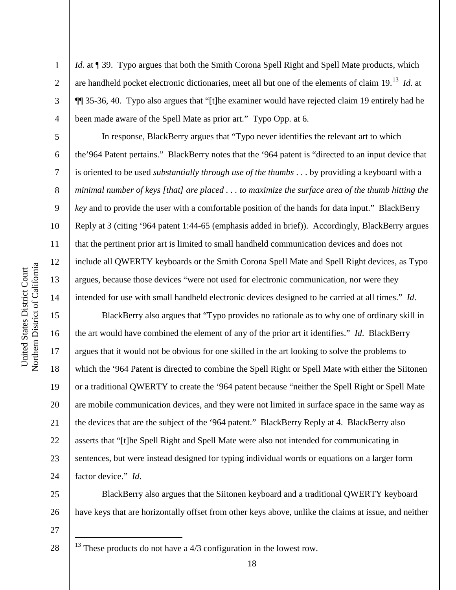2

3

4

5

6

7

8

9

10

11

12

13

14

15

16

17

18

19

20

21

22

23

24

*Id.* at ¶ 39. Typo argues that both the Smith Corona Spell Right and Spell Mate products, which are handheld pocket electronic dictionaries, meet all but one of the elements of claim 19.13 *Id.* at ¶¶ 35-36, 40. Typo also argues that "[t]he examiner would have rejected claim 19 entirely had he been made aware of the Spell Mate as prior art." Typo Opp. at 6.

In response, BlackBerry argues that "Typo never identifies the relevant art to which the'964 Patent pertains." BlackBerry notes that the '964 patent is "directed to an input device that is oriented to be used *substantially through use of the thumbs* . . . by providing a keyboard with a *minimal number of keys [that] are placed . . . to maximize the surface area of the thumb hitting the key* and to provide the user with a comfortable position of the hands for data input." BlackBerry Reply at 3 (citing '964 patent 1:44-65 (emphasis added in brief)). Accordingly, BlackBerry argues that the pertinent prior art is limited to small handheld communication devices and does not include all QWERTY keyboards or the Smith Corona Spell Mate and Spell Right devices, as Typo argues, because those devices "were not used for electronic communication, nor were they intended for use with small handheld electronic devices designed to be carried at all times." *Id*.

BlackBerry also argues that "Typo provides no rationale as to why one of ordinary skill in the art would have combined the element of any of the prior art it identifies." *Id*. BlackBerry argues that it would not be obvious for one skilled in the art looking to solve the problems to which the '964 Patent is directed to combine the Spell Right or Spell Mate with either the Siitonen or a traditional QWERTY to create the '964 patent because "neither the Spell Right or Spell Mate are mobile communication devices, and they were not limited in surface space in the same way as the devices that are the subject of the '964 patent." BlackBerry Reply at 4. BlackBerry also asserts that "[t]he Spell Right and Spell Mate were also not intended for communicating in sentences, but were instead designed for typing individual words or equations on a larger form factor device." *Id*.

25 26 BlackBerry also argues that the Siitonen keyboard and a traditional QWERTY keyboard have keys that are horizontally offset from other keys above, unlike the claims at issue, and neither

 $13$  These products do not have a  $4/3$  configuration in the lowest row.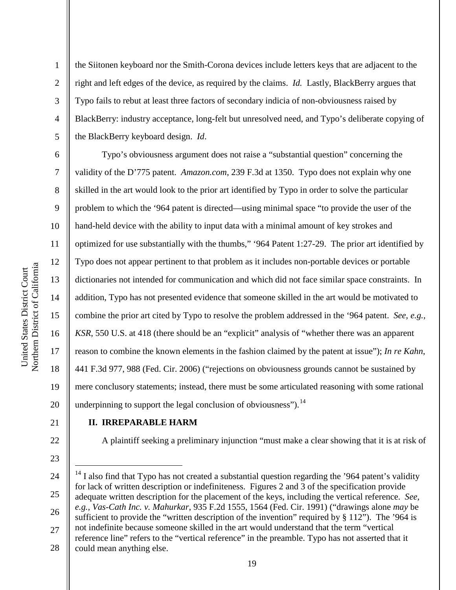the Siitonen keyboard nor the Smith-Corona devices include letters keys that are adjacent to the right and left edges of the device, as required by the claims. *Id.* Lastly, BlackBerry argues that Typo fails to rebut at least three factors of secondary indicia of non-obviousness raised by BlackBerry: industry acceptance, long-felt but unresolved need, and Typo's deliberate copying of the BlackBerry keyboard design. *Id*.

6 10 14 16 20 Typo's obviousness argument does not raise a "substantial question" concerning the validity of the D'775 patent. *Amazon.com*, 239 F.3d at 1350. Typo does not explain why one skilled in the art would look to the prior art identified by Typo in order to solve the particular problem to which the '964 patent is directed—using minimal space "to provide the user of the hand-held device with the ability to input data with a minimal amount of key strokes and optimized for use substantially with the thumbs," '964 Patent 1:27-29. The prior art identified by Typo does not appear pertinent to that problem as it includes non-portable devices or portable dictionaries not intended for communication and which did not face similar space constraints. In addition, Typo has not presented evidence that someone skilled in the art would be motivated to combine the prior art cited by Typo to resolve the problem addressed in the '964 patent. *See, e.g., KSR*, 550 U.S. at 418 (there should be an "explicit" analysis of "whether there was an apparent reason to combine the known elements in the fashion claimed by the patent at issue"); *In re Kahn*, 441 F.3d 977, 988 (Fed. Cir. 2006) ("rejections on obviousness grounds cannot be sustained by mere conclusory statements; instead, there must be some articulated reasoning with some rational underpinning to support the legal conclusion of obviousness").  $<sup>14</sup>$ </sup>

21

1

2

3

4

5

7

8

9

11

12

13

15

17

18

19

### **II. IRREPARABLE HARM**

A plaintiff seeking a preliminary injunction "must make a clear showing that it is at risk of

23

22

24

25

 $14$  I also find that Typo has not created a substantial question regarding the '964 patent's validity for lack of written description or indefiniteness. Figures 2 and 3 of the specification provide adequate written description for the placement of the keys, including the vertical reference. *See, e.g., Vas-Cath Inc. v. Mahurkar*, 935 F.2d 1555, 1564 (Fed. Cir. 1991) ("drawings alone *may* be

- 26 27 sufficient to provide the "written description of the invention" required by § 112"). The '964 is not indefinite because someone skilled in the art would understand that the term "vertical
- 28 reference line" refers to the "vertical reference" in the preamble. Typo has not asserted that it could mean anything else.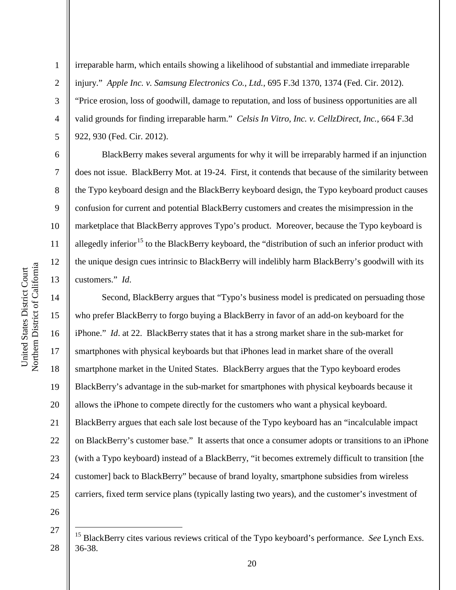2

3

4

5

6

7

8

9

10

11

12

13

14

15

16

17

18

19

20

21

22

23

24

25

irreparable harm, which entails showing a likelihood of substantial and immediate irreparable injury." *Apple Inc. v. Samsung Electronics Co., Ltd.*, 695 F.3d 1370, 1374 (Fed. Cir. 2012). "Price erosion, loss of goodwill, damage to reputation, and loss of business opportunities are all valid grounds for finding irreparable harm." *Celsis In Vitro, Inc. v. CellzDirect, Inc.*, 664 F.3d 922, 930 (Fed. Cir. 2012).

BlackBerry makes several arguments for why it will be irreparably harmed if an injunction does not issue. BlackBerry Mot. at 19-24. First, it contends that because of the similarity between the Typo keyboard design and the BlackBerry keyboard design, the Typo keyboard product causes confusion for current and potential BlackBerry customers and creates the misimpression in the marketplace that BlackBerry approves Typo's product. Moreover, because the Typo keyboard is allegedly inferior<sup>15</sup> to the BlackBerry keyboard, the "distribution of such an inferior product with the unique design cues intrinsic to BlackBerry will indelibly harm BlackBerry's goodwill with its customers." *Id*.

Second, BlackBerry argues that "Typo's business model is predicated on persuading those who prefer BlackBerry to forgo buying a BlackBerry in favor of an add-on keyboard for the iPhone." *Id.* at 22. BlackBerry states that it has a strong market share in the sub-market for smartphones with physical keyboards but that iPhones lead in market share of the overall smartphone market in the United States. BlackBerry argues that the Typo keyboard erodes BlackBerry's advantage in the sub-market for smartphones with physical keyboards because it allows the iPhone to compete directly for the customers who want a physical keyboard. BlackBerry argues that each sale lost because of the Typo keyboard has an "incalculable impact on BlackBerry's customer base." It asserts that once a consumer adopts or transitions to an iPhone (with a Typo keyboard) instead of a BlackBerry, "it becomes extremely difficult to transition [the customer] back to BlackBerry" because of brand loyalty, smartphone subsidies from wireless carriers, fixed term service plans (typically lasting two years), and the customer's investment of

26

<sup>28</sup> 15 BlackBerry cites various reviews critical of the Typo keyboard's performance. *See* Lynch Exs. 36-38.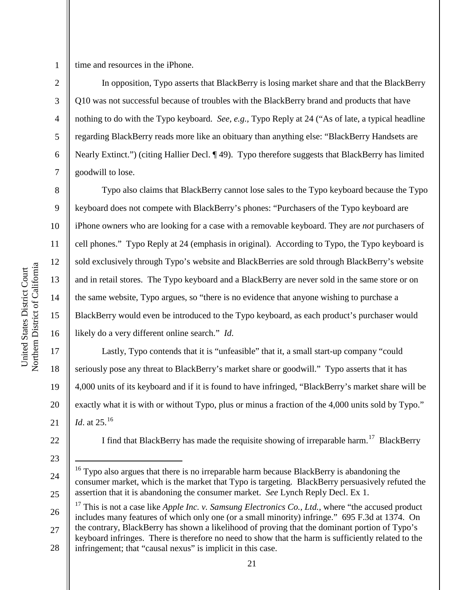1

3

4

5

6

7

8

9

10

11

12

13

14

15

16

17

18

19

20

21

time and resources in the iPhone.

In opposition, Typo asserts that BlackBerry is losing market share and that the BlackBerry Q10 was not successful because of troubles with the BlackBerry brand and products that have nothing to do with the Typo keyboard. *See, e.g.,* Typo Reply at 24 ("As of late, a typical headline regarding BlackBerry reads more like an obituary than anything else: "BlackBerry Handsets are Nearly Extinct.") (citing Hallier Decl. ¶ 49). Typo therefore suggests that BlackBerry has limited goodwill to lose.

Typo also claims that BlackBerry cannot lose sales to the Typo keyboard because the Typo keyboard does not compete with BlackBerry's phones: "Purchasers of the Typo keyboard are iPhone owners who are looking for a case with a removable keyboard. They are *not* purchasers of cell phones." Typo Reply at 24 (emphasis in original). According to Typo, the Typo keyboard is sold exclusively through Typo's website and BlackBerries are sold through BlackBerry's website and in retail stores. The Typo keyboard and a BlackBerry are never sold in the same store or on the same website, Typo argues, so "there is no evidence that anyone wishing to purchase a BlackBerry would even be introduced to the Typo keyboard, as each product's purchaser would likely do a very different online search." *Id*.

Lastly, Typo contends that it is "unfeasible" that it, a small start-up company "could seriously pose any threat to BlackBerry's market share or goodwill." Typo asserts that it has 4,000 units of its keyboard and if it is found to have infringed, "BlackBerry's market share will be exactly what it is with or without Typo, plus or minus a fraction of the 4,000 units sold by Typo." *Id.* at 25.<sup>16</sup>

22

24

25

23

I find that BlackBerry has made the requisite showing of irreparable harm.<sup>17</sup> BlackBerry

26 27 <sup>17</sup> This is not a case like *Apple Inc. v. Samsung Electronics Co., Ltd.*, where "the accused product" includes many features of which only one (or a small minority) infringe." 695 F.3d at 1374. On the contrary, BlackBerry has shown a likelihood of proving that the dominant portion of Typo's keyboard infringes. There is therefore no need to show that the harm is sufficiently related to the

28 infringement; that "causal nexus" is implicit in this case.

<sup>&</sup>lt;sup>16</sup> Typo also argues that there is no irreparable harm because BlackBerry is abandoning the consumer market, which is the market that Typo is targeting. BlackBerry persuasively refuted the assertion that it is abandoning the consumer market. *See* Lynch Reply Decl. Ex 1.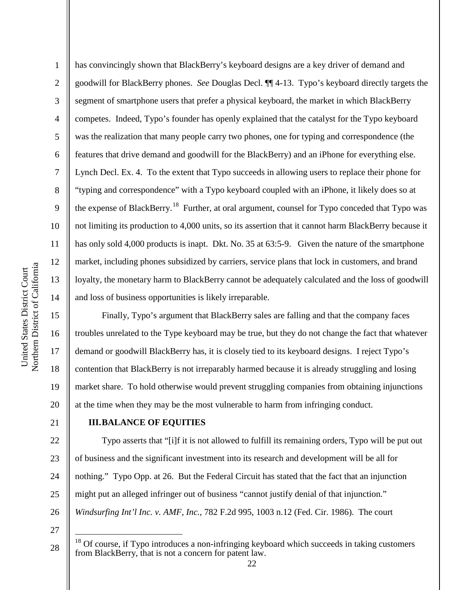1 2 3 4 5 6 7 8 9 10 11 12 13 14 has convincingly shown that BlackBerry's keyboard designs are a key driver of demand and goodwill for BlackBerry phones. *See* Douglas Decl. ¶¶ 4-13. Typo's keyboard directly targets the segment of smartphone users that prefer a physical keyboard, the market in which BlackBerry competes. Indeed, Typo's founder has openly explained that the catalyst for the Typo keyboard was the realization that many people carry two phones, one for typing and correspondence (the features that drive demand and goodwill for the BlackBerry) and an iPhone for everything else. Lynch Decl. Ex. 4. To the extent that Typo succeeds in allowing users to replace their phone for "typing and correspondence" with a Typo keyboard coupled with an iPhone, it likely does so at the expense of BlackBerry.<sup>18</sup> Further, at oral argument, counsel for Typo conceded that Typo was not limiting its production to 4,000 units, so its assertion that it cannot harm BlackBerry because it has only sold 4,000 products is inapt. Dkt. No. 35 at 63:5-9. Given the nature of the smartphone market, including phones subsidized by carriers, service plans that lock in customers, and brand loyalty, the monetary harm to BlackBerry cannot be adequately calculated and the loss of goodwill and loss of business opportunities is likely irreparable.

Finally, Typo's argument that BlackBerry sales are falling and that the company faces troubles unrelated to the Type keyboard may be true, but they do not change the fact that whatever demand or goodwill BlackBerry has, it is closely tied to its keyboard designs. I reject Typo's contention that BlackBerry is not irreparably harmed because it is already struggling and losing market share. To hold otherwise would prevent struggling companies from obtaining injunctions at the time when they may be the most vulnerable to harm from infringing conduct.

21

15

16

17

18

19

20

#### **III.BALANCE OF EQUITIES**

22 23 24 25 26 Typo asserts that "[i]f it is not allowed to fulfill its remaining orders, Typo will be put out of business and the significant investment into its research and development will be all for nothing." Typo Opp. at 26. But the Federal Circuit has stated that the fact that an injunction might put an alleged infringer out of business "cannot justify denial of that injunction." *Windsurfing Int'l Inc. v. AMF, Inc.*, 782 F.2d 995, 1003 n.12 (Fed. Cir. 1986). The court

27

<sup>&</sup>lt;sup>18</sup> Of course, if Typo introduces a non-infringing keyboard which succeeds in taking customers from BlackBerry, that is not a concern for patent law.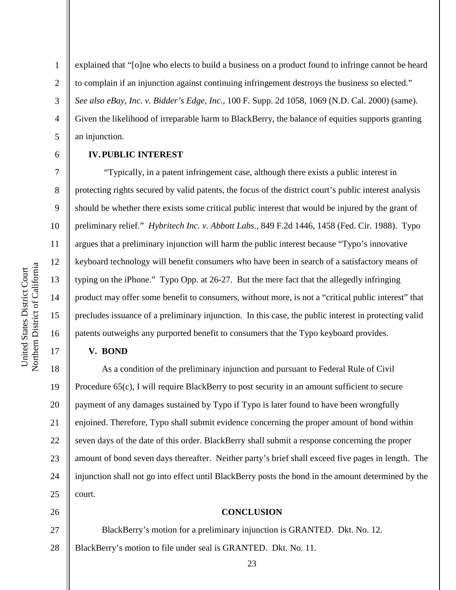2

3

4

5

6

7

8

9

10

11

12

13

14

15

16

17

explained that "[o]ne who elects to build a business on a product found to infringe cannot be heard to complain if an injunction against continuing infringement destroys the business so elected." *See also eBay, Inc. v. Bidder's Edge, Inc.*, 100 F. Supp. 2d 1058, 1069 (N.D. Cal. 2000) (same). Given the likelihood of irreparable harm to BlackBerry, the balance of equities supports granting an injunction.

## **IV.PUBLIC INTEREST**

"Typically, in a patent infringement case, although there exists a public interest in protecting rights secured by valid patents, the focus of the district court's public interest analysis should be whether there exists some critical public interest that would be injured by the grant of preliminary relief." *Hybritech Inc. v. Abbott Labs.*, 849 F.2d 1446, 1458 (Fed. Cir. 1988). Typo argues that a preliminary injunction will harm the public interest because "Typo's innovative keyboard technology will benefit consumers who have been in search of a satisfactory means of typing on the iPhone." Typo Opp. at 26-27. But the mere fact that the allegedly infringing product may offer some benefit to consumers, without more, is not a "critical public interest" that precludes issuance of a preliminary injunction. In this case, the public interest in protecting valid patents outweighs any purported benefit to consumers that the Typo keyboard provides.

#### **V. BOND**

18 19 20 21 22 23 24 25 As a condition of the preliminary injunction and pursuant to Federal Rule of Civil Procedure 65(c), I will require BlackBerry to post security in an amount sufficient to secure payment of any damages sustained by Typo if Typo is later found to have been wrongfully enjoined. Therefore, Typo shall submit evidence concerning the proper amount of bond within seven days of the date of this order. BlackBerry shall submit a response concerning the proper amount of bond seven days thereafter. Neither party's brief shall exceed five pages in length. The injunction shall not go into effect until BlackBerry posts the bond in the amount determined by the court.

26

27

28

#### **CONCLUSION**

BlackBerry's motion for a preliminary injunction is GRANTED. Dkt. No. 12. BlackBerry's motion to file under seal is GRANTED. Dkt. No. 11.